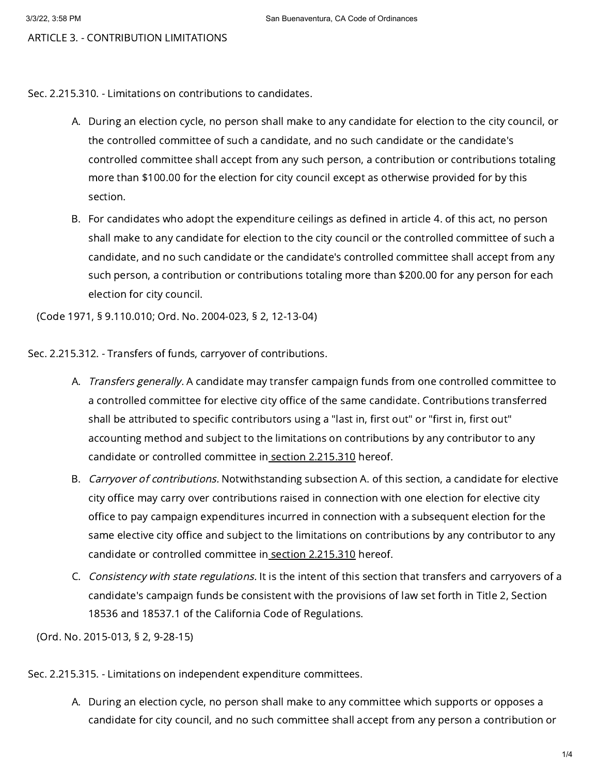ARTICLE 3. - CONTRIBUTION LIMITATIONS

Sec. 2.215.310. - Limitations on contributions to candidates.

- A. During an election cycle, no person shall make to any candidate for election to the city council, or the controlled committee of such a candidate, and no such candidate or the candidate's controlled committee shall accept from any such person, a contribution or contributions totaling more than \$100.00 for the election for city council except as otherwise provided for by this section.
- B. For candidates who adopt the expenditure ceilings as defined in article 4. of this act, no person shall make to any candidate for election to the city council or the controlled committee of such a candidate, and no such candidate or the candidate's controlled committee shall accept from any such person, a contribution or contributions totaling more than \$200.00 for any person for each election for city council.

(Code 1971, § 9.110.010; Ord. No. 2004-023, § 2, 12-13-04)

Sec. 2.215.312. - Transfers of funds, carryover of contributions.

- A. *Transfers generally.* A candidate may transfer campaign funds from one controlled committee to a controlled committee for elective city office of the same candidate. Contributions transferred shall be attributed to specific contributors using a "last in, first out" or "first in, first out" accounting method and subject to the limitations on contributions by any contributor to any candidate or controlled committee in section [2.215.310](https://library.municode.com/) hereof.
- B. *Carryover of contributions.* Notwithstanding subsection A. of this section, a candidate for elective city office may carry over contributions raised in connection with one election for elective city office to pay campaign expenditures incurred in connection with a subsequent election for the same elective city office and subject to the limitations on contributions by any contributor to any candidate or controlled committee in section [2.215.310](https://library.municode.com/) hereof.
- C. *Consistency with state regulations.* It is the intent of this section that transfers and carryovers of a candidate's campaign funds be consistent with the provisions of law set forth in Title 2, Section 18536 and 18537.1 of the California Code of Regulations.

(Ord. No. 2015-013, § 2, 9-28-15)

Sec. 2.215.315. - Limitations on independent expenditure committees.

A. During an election cycle, no person shall make to any committee which supports or opposes a candidate for city council, and no such committee shall accept from any person a contribution or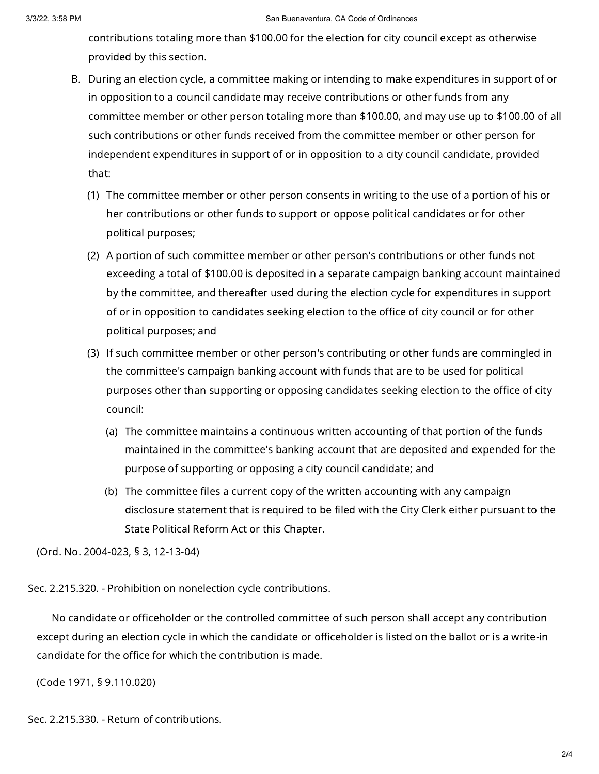## 3/3/22, 3:58 PM San Buenaventura, CA Code of Ordinances

contributions totaling more than \$100.00 for the election for city council except as otherwise provided by this section.

- B. During an election cycle, a committee making or intending to make expenditures in support of or in opposition to a council candidate may receive contributions or other funds from any committee member or other person totaling more than \$100.00, and may use up to \$100.00 of all such contributions or other funds received from the committee member or other person for independent expenditures in support of or in opposition to a city council candidate, provided that:
	- (1) The committee member or other person consents in writing to the use of a portion of his or her contributions or other funds to support or oppose political candidates or for other political purposes;
	- (2) A portion of such committee member or other person's contributions or other funds not exceeding a total of \$100.00 is deposited in a separate campaign banking account maintained by the committee, and thereafter used during the election cycle for expenditures in support of or in opposition to candidates seeking election to the office of city council or for other political purposes; and
	- (3) If such committee member or other person's contributing or other funds are commingled in the committee's campaign banking account with funds that are to be used for political purposes other than supporting or opposing candidates seeking election to the office of city council:
		- (a) The committee maintains a continuous written accounting of that portion of the funds maintained in the committee's banking account that are deposited and expended for the purpose of supporting or opposing a city council candidate; and
		- (b) The committee files a current copy of the written accounting with any campaign disclosure statement that is required to be filed with the City Clerk either pursuant to the State Political Reform Act or this Chapter.

(Ord. No. 2004-023, § 3, 12-13-04)

Sec. 2.215.320. - Prohibition on nonelection cycle contributions.

No candidate or officeholder or the controlled committee of such person shall accept any contribution except during an election cycle in which the candidate or officeholder is listed on the ballot or is a write-in candidate for the office for which the contribution is made.

(Code 1971, § 9.110.020)

Sec. 2.215.330. - Return of contributions.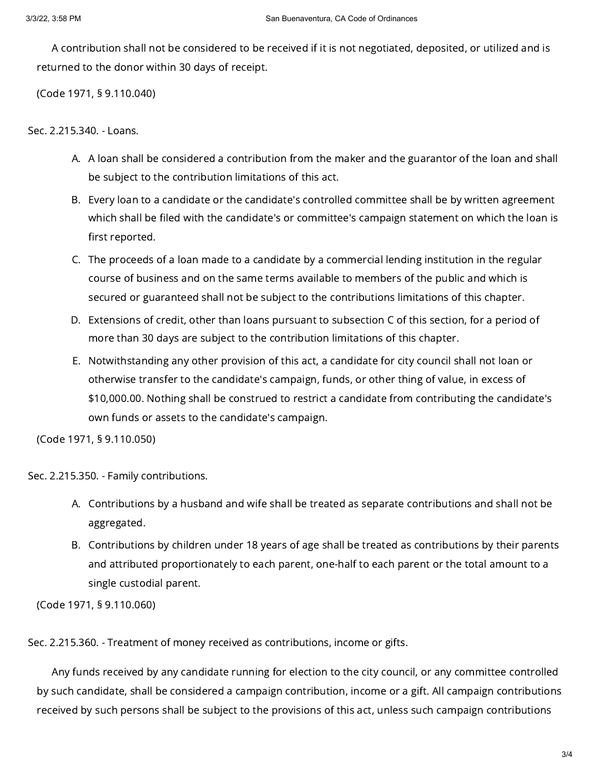A contribution shall not be considered to be received if it is not negotiated, deposited, or utilized and is returned to the donor within 30 days of receipt.

(Code 1971, § 9.110.040)

Sec. 2.215.340. - Loans.

- A. A loan shall be considered a contribution from the maker and the guarantor of the loan and shall be subject to the contribution limitations of this act.
- B. Every loan to a candidate or the candidate's controlled committee shall be by written agreement which shall be filed with the candidate's or committee's campaign statement on which the loan is first reported.
- C. The proceeds of a loan made to a candidate by a commercial lending institution in the regular course of business and on the same terms available to members of the public and which is secured or guaranteed shall not be subject to the contributions limitations of this chapter.
- D. Extensions of credit, other than loans pursuant to subsection C of this section, for a period of more than 30 days are subject to the contribution limitations of this chapter.
- E. Notwithstanding any other provision of this act, a candidate for city council shall not loan or otherwise transfer to the candidate's campaign, funds, or other thing of value, in excess of \$10,000.00. Nothing shall be construed to restrict a candidate from contributing the candidate's own funds or assets to the candidate's campaign.

(Code 1971, § 9.110.050)

Sec. 2.215.350. - Family contributions.

- A. Contributions by a husband and wife shall be treated as separate contributions and shall not be aggregated.
- B. Contributions by children under 18 years of age shall be treated as contributions by their parents and attributed proportionately to each parent, one-half to each parent or the total amount to a single custodial parent.

(Code 1971, § 9.110.060)

Sec. 2.215.360. - Treatment of money received as contributions, income or gifts.

Any funds received by any candidate running for election to the city council, or any committee controlled by such candidate, shall be considered a campaign contribution, income or a gift. All campaign contributions received by such persons shall be subject to the provisions of this act, unless such campaign contributions